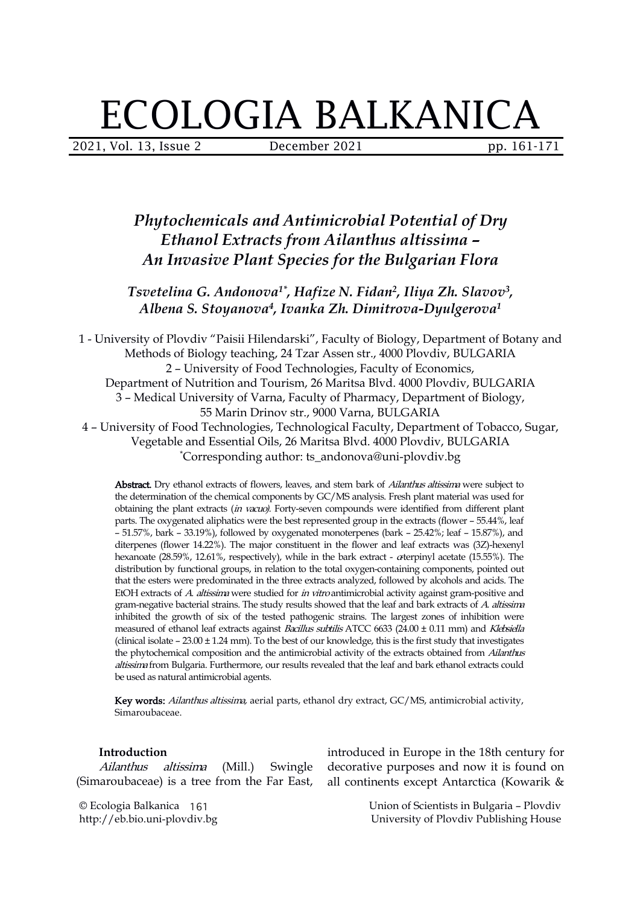# ECOLOGIA BALKANICA

2021, Vol. 13, Issue 2 December 2021 pp. 161-171

# *Phytochemicals and Antimicrobial Potential of Dry Ethanol Extracts from Ailanthus altissima – An Invasive Plant Species for the Bulgarian Flora*

*Tsvetelina G. Andonova 1\* , Hafize N. Fidan 2 , Iliya Zh. Slavov 3 , Albena S. Stoyanova 4 , Ivanka Zh. Dimitrova-Dyulgerova 1*

1 - University of Plovdiv "Paisii Hilendarski", Faculty of Biology, Department of Botany and Methods of Biology teaching, 24 Tzar Assen str., 4000 Plovdiv, BULGARIA 2 – University of Food Technologies, Faculty of Economics, Department of Nutrition and Tourism, 26 Maritsa Blvd. 4000 Plovdiv, BULGARIA 3 – Medical University of Varna, Faculty of Pharmacy, Department of Biology, 55 Marin Drinov str., 9000 Varna, BULGARIA 4 – University of Food Technologies, Technological Faculty, Department of Tobacco, Sugar, Vegetable and Essential Oils, 26 Maritsa Blvd. 4000 Plovdiv, BULGARIA \*Corresponding author: ts\_andonova@uni-plovdiv.bg

Abstract. Dry ethanol extracts of flowers, leaves, and stem bark of *Ailanthus altissima* were subject to the determination of the chemical components by GC/MS analysis. Fresh plant material was used for obtaining the plant extracts (in vacuo). Forty-seven compounds were identified from different plant parts. The oxygenated aliphatics were the best represented group in the extracts (flower – 55.44%, leaf – 51.57%, bark – 33.19%), followed by oxygenated monoterpenes (bark – 25.42%; leaf – 15.87%), and diterpenes (flower 14.22%). The major constituent in the flower and leaf extracts was (3Z)-hexenyl hexanoate (28.59%, 12.61%, respectively), while in the bark extract -  $\alpha$ terpinyl acetate (15.55%). The distribution by functional groups, in relation to the total oxygen-containing components, pointed out that the esters were predominated in the three extracts analyzed, followed by alcohols and acids. The EtOH extracts of A. altissima were studied for in vitro antimicrobial activity against gram-positive and gram-negative bacterial strains. The study results showed that the leaf and bark extracts of A. altissima inhibited the growth of six of the tested pathogenic strains. The largest zones of inhibition were measured of ethanol leaf extracts against Bacillus subtilis ATCC 6633 (24.00 ± 0.11 mm) and Klebsiella (clinical isolate  $-23.00 \pm 1.24$  mm). To the best of our knowledge, this is the first study that investigates the phytochemical composition and the antimicrobial activity of the extracts obtained from Ailanthus altissima from Bulgaria. Furthermore, our results revealed that the leaf and bark ethanol extracts could be used as natural antimicrobial agents.

Key words: Ailanthus altissima, aerial parts, ethanol dry extract, GC/MS, antimicrobial activity, Simaroubaceae.

#### **Introduction**

Ailanthus altissima (Mill.) Swingle

© Ecologia Balkanica 161 http://eb.bio.uni-plovdiv.bg

Introduction introduced in Europe in the 18th century for<br>Ailanthus altissima (Mill.) Swingle decorative purposes and now it is found on<br>(Simaroubaceae) is a tree from the Far East, all continents except Antarctica (Kowari decorative purposes and now it is found on

> Union of Scientists in Bulgaria – Plovdiv University of Plovdiv Publishing House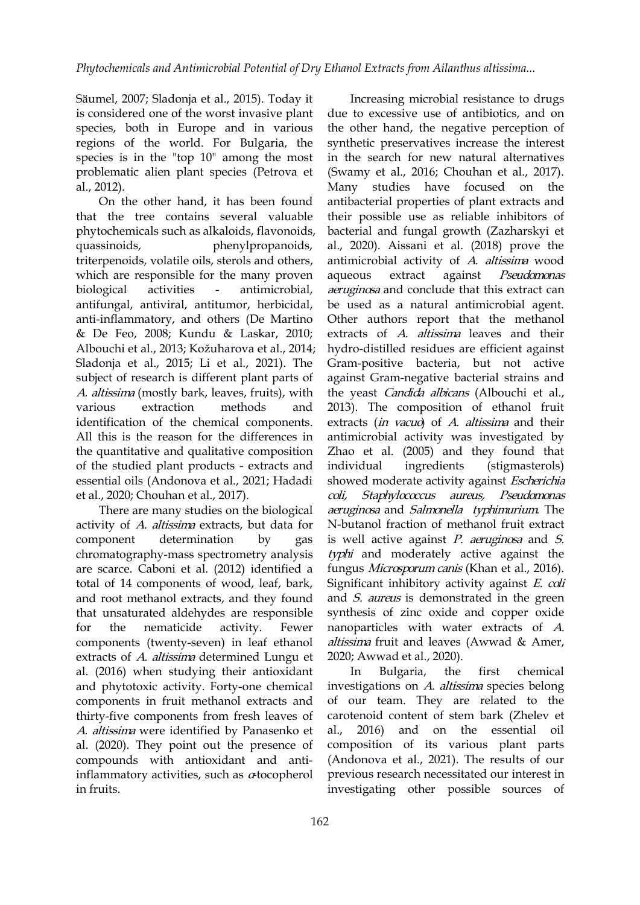Säumel, 2007; Sladonja et al., 2015). Today it is considered one of the worst invasive plant species, both in Europe and in various regions of the world. For Bulgaria, the species is in the "top 10" among the most problematic alien plant species (Petrova et al., 2012).

On the other hand, it has been found that the tree contains several valuable phytochemicals such as alkaloids, flavonoids, quassinoids, phenylpropanoids, triterpenoids, volatile oils, sterols and others, which are responsible for the many proven aqueous extract against biological activities - antimicrobial, antifungal, antiviral, antitumor, herbicidal, anti-inflammatory, and others (De Martino & De Feo, 2008; Kundu & Laskar, 2010; Albouchi et al., 2013; Kožuharova et al., 2014; Sladonja et al., 2015; Li et al., 2021). The subject of research is different plant parts of A. altissima (mostly bark, leaves, fruits), with identification of the chemical components. All this is the reason for the differences in the quantitative and qualitative composition of the studied plant products - extracts and essential oils (Andonova et al., 2021; Hadadi et al., 2020; Chouhan et al., 2017).

There are many studies on the biological activity of A. altissima extracts, but data for chromatography-mass spectrometry analysis are scarce. Caboni et al.(2012) identified a total of 14 components of wood, leaf, bark, and root methanol extracts, and they found that unsaturated aldehydes are responsible components (twenty-seven) in leaf ethanol extracts of A. *altissima* determined Lungu et al. (2016) when studying their antioxidant and phytotoxic activity. Forty-one chemical components in fruit methanol extracts and thirty-five components from fresh leaves of A. *altissima* were identified by Panasenko et al., 2016) al. (2020). They point out the presence of compounds with antioxidant and antiinflammatory activities, such as  $\alpha$ tocopherol in fruits.

various extraction methods and 2013). The composition of ethanol fruit component determination by gas is-well-active-against-*P. aeruginosa*-and-*S.* for the nematicide activity. Fewer nanoparticles with water extracts of  $A$ . Increasing microbial resistance to drugs due to excessive use of antibiotics, and on the other hand, the negative perception of synthetic preservatives increase the interest in the search for new natural alternatives (Swamy et al., 2016; Chouhan et al., 2017). Many studies have focused on the antibacterial properties of plant extracts and their possible use as reliable inhibitors of bacterial and fungal growth (Zazharskyi et al., 2020). Aissani et al. (2018) prove the antimicrobial activity of A. altissima wood Pseudomonas aeruginosa and conclude that this extract can be used as a natural antimicrobial agent. Other authors report that the methanol extracts of A. altissima leaves and their hydro-distilled residues are efficient against Gram-positive bacteria, but not active against Gram-negative bacterial strains and the yeast Candida albicans (Albouchi et al., extracts (*in vacuo*) of *A. altissima* and their antimicrobial activity was investigated by Zhao et al. (2005) and they found that (stigmasterols) showed moderate activity against Escherichia coli, Staphylococcus aureus, Pseudomonas aeruginosa and Salmonella typhimurium. The N-butanol fraction of methanol fruit extract typhi and moderately active against the fungus Microsporum canis (Khan et al., 2016). Significant inhibitory activity against E. coli and *S. aureus* is demonstrated in the green synthesis of zinc oxide and copper oxide altissima fruit and leaves (Awwad & Amer, 2020; Awwad et al., 2020).

> Bulgaria, the first chemical investigations on A. altissimа species belong of our team. They are related to the carotenoid content of stem bark (Zhelev et and on the essential oil composition of its various plant parts (Andonova et al., 2021). The results of our previous research necessitated our interest in investigating other possible sources of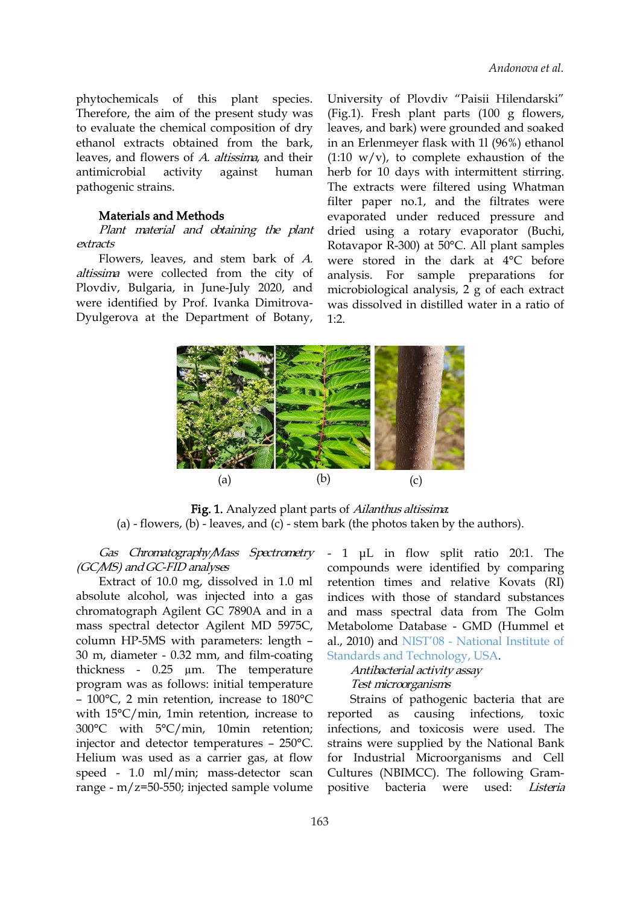phytochemicals of this plant species. Therefore, the aim of the present study was to evaluate the chemical composition of dry ethanol extracts obtained from the bark, leaves, and flowers of A. altissima, and their pathogenic strains.

#### Materials and Methods

Plant material and obtaining the plant extracts

Flowers, leaves, and stem bark of  $A$ .<br>altissima were collected from the city of Plovdiv, Bulgaria, in June-July 2020, and were identified by Prof. Ivanka Dimitrova- Dyulgerova at the Dераrtment of Botany,

antimicrobial activity against human herb for 10 days with intermittent stirring. University of Plovdiv "Paisii Hilendаrski" (Fig.1). Fresh plant parts (100 g flowers, leaves, and bark) were grounded and soaked in an Erlenmeyer flask with 1l (96%) ethanol  $(1:10 \text{ w/v})$ , to complete exhaustion of the The extracts were filtered using Whatman filter paper no.1, and the filtrates were evaporated under reduced pressure and dried using a rotary evaporator (Buchi, Rotavapor R-300) at 50°C. All plant samples were stored in the dark at 4°C before analysis. For sample preparations for microbiological analysis, 2 g of each extract was dissolved in distilled water in a ratio of 1:2.



Fig. 1. Analyzed plant parts of *Ailanthus altissima*: (a) - flowers,  $(b)$  - leaves, and  $(c)$  - stem bark (the photos taken by the authors).

Gas Chromatography/Mass Spectrometry (GCMS) and GC-FID analyses

Extract of 10.0 mg, dissolved in 1.0 ml absolute alcohol, was injected into a gas chromatograph Agilent GC 7890А and in a mass spectral detector Agilent MD 5975С, column HP-5MS with parameters: length – 30 m, diameter - 0.32 mm, and film-coating thickness - 0.25 µm. The temperature program was as follows: initial temperature – 100°C, 2 min retention, increase to 180°C with 15°C/min, 1min retention, increase to 300°C with 5°C/min, 10min retention; injector and detector temperatures – 250°C. Helium was used as a carrier gas, at flow speed - 1.0 ml/min; mass-detector scan range - m/z=50-550; injected sample volume

- 1 μL in flow split ratio 20:1. The compounds were identified by comparing retention times and relative Kovats (RI) indices with those of standard substances and mass spectral data from The Golm Metabolome Database - GMD (Hummel et al., 2010) and NIST'08 - [National](https://www.nist.gov/nist-research-library/reference-format-nist-publications) Institute of Standards and Technology, USA.

Antibacterial activity assay Test microorganisms

Strains of pathogenic bacteria that are reported as causing infections, toxic infections, and toxicosis were used. The strains were supplied by the National Bank for Industrial Microorganisms and Cell Cultures (NBIMCC). The following Gram positive bacteria were used: Listeria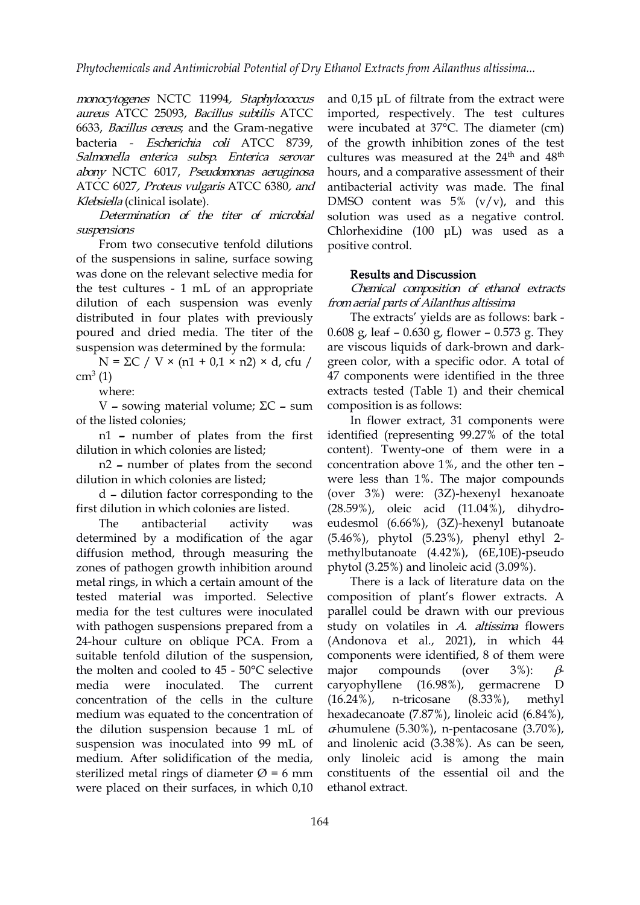monocytogenes NCTC 11994, Staphylococcus aureus ATCC 25093, Bacillus subtilis ATCC 6633, Bacillus cereus; and the Gram-negative bacteria - Escherichia coli ATCC 8739, Salmonella enterica subsp. Enterica serovar abony NCTC 6017, Pseudomonas aeruginosa ATCC 6027, Proteus vulgaris ATCC 6380, and Klebsiella (clinical isolate).

Determination of the titer of microbial suspensions

From two consecutive tenfold dilutions of the suspensions in saline, surface sowing was done on the relevant selective media for the test cultures - 1 mL of an appropriate dilution of each suspension was evenly distributed in four plates with previously poured and dried media. The titer of the suspension was determined by the formula: are viscous liquids of dark-brown and dark-

 $N = \Sigma C / V \times (n1 + 0.1 \times n2) \times d$ , cfu /  $cm<sup>3</sup>(1)$ 

where:

V – sowing material volume; ΣC – sum of the listed colonies;

n1 – number of plates from the first dilution in which colonies are listed;

n2 – number of plates from the second dilution in which colonies are listed;

d – dilution factor corresponding to the first dilution in which colonies are listed.

determined by a modification of the agar diffusion method, through measuring the zones of pathogen growth inhibition around metal rings, in which a certain amount of the tested material was imported. Selective media for the test cultures were inoculated with pathogen suspensions prepared from a 24-hour culture on oblique PCA. From a suitable tenfold dilution of the suspension, the molten and cooled to 45 - 50°C selective maior media were inoculated. The current concentration of the cells in the culture  $(16.24\%)$ , medium was equated to the concentration of the dilution suspension because 1 mL of suspension was inoculated into 99 mL of medium. After solidification of the media, sterilized metal rings of diameter  $\varnothing$  = 6 mm were placed on their surfaces, in which 0,10

and  $0.15$   $\mu$ L of filtrate from the extract were imported, respectively. The test cultures were incubated at 37°С. The diameter (cm) of the growth inhibition zones of the test cultures was measured at the  $24^{\text{th}}$  and  $48^{\text{th}}$ th hours, and a comparative assessment of their antibacterial activity was made. The final DMSO content was  $5\%$  (v/v), and this solution was used as a negative control. Chlorhexidine (100 μL) was used as a positive control.

#### Results and Discussion

Chemical composition of ethanol extracts fromaerial parts of Ailanthus altissima

The extracts' yields are as follows: bark - 0.608 g, leaf – 0.630 g, flower – 0.573 g. They green color, with a specific odor. A total of 47 components were identified in the three extracts tested (Table 1) and their chemical composition is as follows:

The antibacterial activity was eudesmol (6.66%), (3Z)-hexenyl butanoate In flower extract, 31 components were identified (representing 99.27% of the total content). Twenty-one of them were in a concentration above 1%, and the other ten – were less than 1%. The major compounds (over 3%) were: (3Z)-hexenyl hexanoate (28.59%), oleic acid (11.04%), dihydro- (5.46%), phytol (5.23%), phenyl ethyl 2 methylbutanoate (4.42%), (6E,10E)-pseudo phytol (3.25%) and linoleic acid (3.09%).

> There is a lack of literature data on the composition of plant's flower extracts. A parallel could be drawn with our previous study on volatiles in A. altissima flowers (Andonova et al., 2021), in which 44 components were identified, 8 of them were compounds (over 3%):  $\beta$ caryophyllene (16.98%), germacrene D n-tricosane (8.33%), methyl hexadecanoate (7.87%), linoleic acid (6.84%),  $\alpha$ humulene (5.30%), n-pentacosane (3.70%), and linolenic acid (3.38%). As can be seen, only linoleic acid is among the main constituents of the essential oil and the ethanol extract.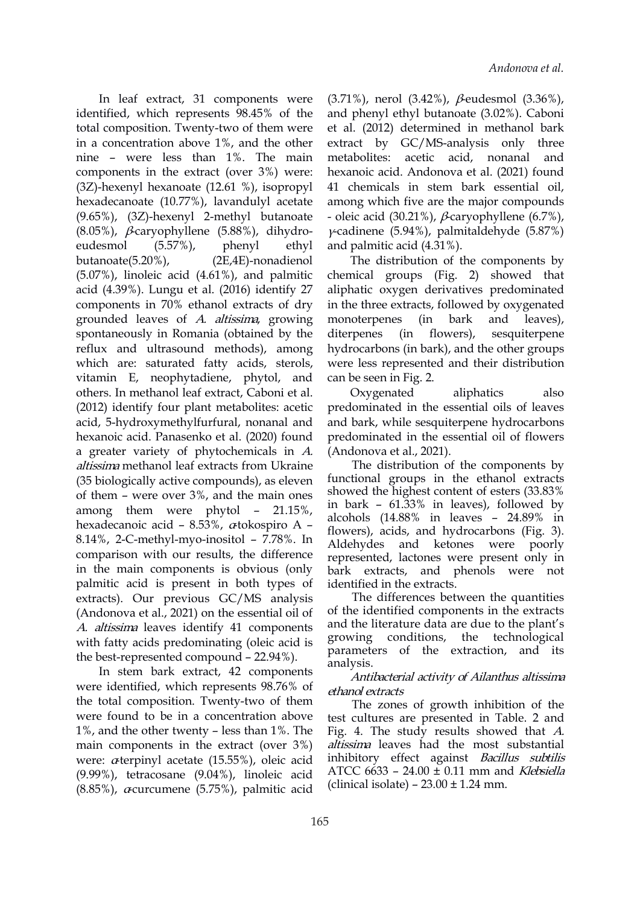In leaf extract,31 components were identified, which represents 98.45% of the total composition. Twenty-two of them were in a concentration above 1%, and the other nine – were less than 1%. The main components in the extract (over 3%) were: (3Z)-hexenyl hexanoate (12.61 %), isopropyl hexadecanoate (10.77%), lavandulyl acetate (9.65%), (3Z)-hexenyl 2-methyl butanoate  $(8.05\%)$ ,  $\beta$ -caryophyllene  $(5.88\%)$ , dihydroeudesmol (5.57%), phenyl ethyl and palmitic acid (4.31%). butanoate(5.20%), (2E,4E)-nonadienol (5.07%), linoleic acid (4.61%), and palmitic acid (4.39%). Lungu et al.(2016) identify 27 components in 70% ethanol extracts of dry grounded leaves of A. altissima, growing monoterpenes (in spontaneously in Romania (obtained by the diterpenes reflux and ultrasound methods), among which are: saturated fatty acids, sterols, vitamin E, neophytadiene, phytol, and others. In methanol leaf extract, Caboni et al. (2012) identify four plant metabolites: acetic acid, 5-hydroxymethylfurfural, nonanal and hexanoic acid. Panasenko et al. (2020) found a greater variety of phytochemicals in A. altissima methanol leaf extracts from Ukraine (35 biologically active compounds), as eleven of them – were over 3%, and the main ones among them were phytol – 21.15%, hexadecanoic acid – 8.53%,  $\alpha$ tokospiro A – 8.14%, 2-C-methyl-myo-inositol – 7.78%. In comparison with our results, the difference in the main components is obvious (only palmitic acid is present in both types of extracts). Our previous GC/MS analysis (Andonova et al., 2021) on the essential oil of A. altissima leaves identify 41 components with fatty acids predominating (oleic acid is the best-represented compound – 22.94%).

In stem bark extract, 42 components were identified, which represents 98.76% of the total composition. Twenty-two of them were found to be in a concentration above 1%, and the other twenty – less than 1%. The main components in the extract (over 3%) were:  $\alpha$ terpinyl acetate (15.55%), oleic acid (9.99%), tetracosane (9.04%), linoleic acid  $(8.85\%)$ , *a*-curcumene  $(5.75\%)$ , palmitic acid

(3.71%), nerol (3.42%), β-eudesmol (3.36%), and phenyl ethyl butanoate (3.02%). Caboni et al. (2012) determined in methanol bark extract by GC/MS-analysis only three acetic acid, nonanal and hexanoic acid. Andonova et al. (2021) found 41 chemicals in stem bark essential oil, among which five are the major compounds - oleic acid (30.21%),  $\beta$ -caryophyllene (6.7%), γ-cadinene (5.94%), palmitaldehyde (5.87%)

The distribution of the components by chemical groups (Fig. 2) showed that aliphatic oxygen derivatives predominated in the three extracts, followed by oxygenated monoterpenes (in bark and leaves), (in flowers), sesquiterpene hydrocarbons (in bark), and the other groups were less represented and their distribution can be seen in Fig. 2.

Oxygenated aliphatics also predominated in the essential oils of leaves and bark, while sesquiterpene hydrocarbons predominated in the essential oil of flowers (Andonova et al., 2021).

The distribution of the components by functional groups in the ethanol extracts showed the highest content of esters (33.83% in bark -  $61.33\%$  in leaves), followed by alcohols (14.88% in leaves – 24.89% in flowers), acids, and hydrocarbons (Fig. 3). Aldehydes and ketones were poorly represented, lactones were present only in bark extracts, and phenols were not identified in the extracts.

The differences between the quantities of the identified components in the extracts and the literature data are due to the plant's growing conditions, the technological parameters of the extraction, and its analysis.

### Antibacterial activity of Ailanthus altissima ethanol extracts

The zones of growth inhibition of the test cultures are presented in Table. 2 and Fig. 4. The study results showed that A. altissima leaves had the most substantial inhibitory effect against Bacillus subtilis ATCC 6633 – 24.00 ± 0.11 mm and Klebsiella (clinical isolate) –  $23.00 \pm 1.24$  mm.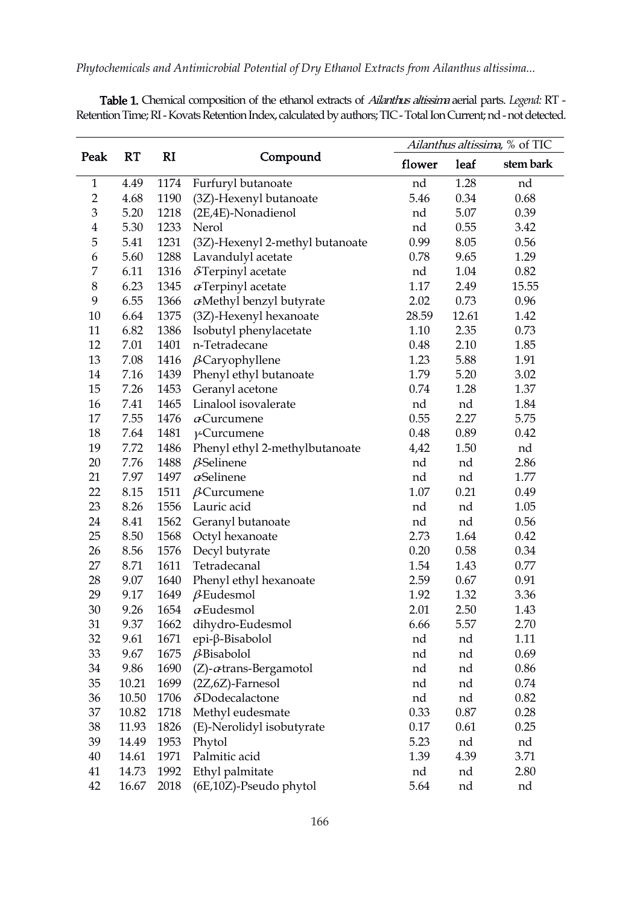*Phytochemicals and Antimicrobial Potential of Dry Ethanol Extracts from Ailanthus altissima...*

| Peak           | RT    | <b>RI</b> |                                   | Ailanthus altissima, % of TIC |      |           |
|----------------|-------|-----------|-----------------------------------|-------------------------------|------|-----------|
|                |       |           | Compound                          | flower                        | leaf | stem bark |
| $\mathbf{1}$   | 4.49  | 1174      | Furfuryl butanoate                | nd                            | 1.28 | nd        |
| $\overline{2}$ | 4.68  | 1190      | (3Z)-Hexenyl butanoate            | 5.46                          | 0.34 | 0.68      |
| 3              | 5.20  | 1218      | (2E,4E)-Nonadienol                | nd                            | 5.07 | 0.39      |
| $\overline{4}$ | 5.30  | 1233      | Nerol                             | nd                            | 0.55 | 3.42      |
| 5              | 5.41  | 1231      | (3Z)-Hexenyl 2-methyl butanoate   | 0.99                          | 8.05 | 0.56      |
| 6              | 5.60  | 1288      | Lavandulyl acetate                | 0.78<br>9.65<br>1.29          |      |           |
| 7              | 6.11  | 1316      | $\delta$ Terpinyl acetate         | 0.82<br>1.04<br>nd            |      |           |
| 8              | 6.23  | 1345      | $\alpha$ Terpinyl acetate         | 1.17<br>15.55<br>2.49         |      |           |
| 9              | 6.55  | 1366      | $\alpha$ Methyl benzyl butyrate   | 2.02<br>0.73<br>0.96          |      |           |
| 10             | 6.64  | 1375      | (3Z)-Hexenyl hexanoate            | 28.59<br>12.61<br>1.42        |      |           |
| 11             | 6.82  | 1386      | Isobutyl phenylacetate            | 1.10<br>2.35<br>0.73          |      |           |
| 12             | 7.01  | 1401      | n-Tetradecane                     | 2.10<br>1.85<br>0.48          |      |           |
| 13             | 7.08  | 1416      | $\beta$ Caryophyllene             | 5.88<br>1.91<br>1.23          |      |           |
| 14             | 7.16  | 1439      | Phenyl ethyl butanoate            | 1.79                          | 5.20 | 3.02      |
| 15             | 7.26  | 1453      | Geranyl acetone                   | 0.74                          | 1.28 | 1.37      |
| 16             | 7.41  | 1465      | Linalool isovalerate              | nd                            | nd   | 1.84      |
| 17             | 7.55  | 1476      | $\alpha$ Curcumene                | 0.55                          | 2.27 | 5.75      |
| 18             | 7.64  | 1481      | $\gamma$ -Curcumene               | 0.48                          | 0.89 | 0.42      |
| 19             | 7.72  | 1486      | Phenyl ethyl 2-methylbutanoate    | 4,42                          | 1.50 | nd        |
| 20             | 7.76  | 1488      | $\beta$ Selinene                  | nd                            | nd   | 2.86      |
| 21             | 7.97  | 1497      | $\alpha$ Selinene                 | nd                            | nd   | 1.77      |
| 22             | 8.15  | 1511      | $\beta$ Curcumene                 | 1.07                          | 0.21 | 0.49      |
| 23             | 8.26  | 1556      | Lauric acid                       | nd                            | nd   | 1.05      |
| 24             | 8.41  | 1562      | Geranyl butanoate                 | nd                            | nd   | 0.56      |
| 25             | 8.50  | 1568      | Octyl hexanoate                   | 2.73                          | 1.64 | 0.42      |
| 26             | 8.56  | 1576      | Decyl butyrate                    | 0.20                          | 0.58 | 0.34      |
| 27             | 8.71  | 1611      | Tetradecanal                      | 1.54                          | 1.43 | 0.77      |
| 28             | 9.07  | 1640      | Phenyl ethyl hexanoate            | 2.59                          | 0.67 | 0.91      |
| 29             | 9.17  | 1649      | $\beta$ Eudesmol                  | 1.92                          | 1.32 | 3.36      |
| 30             | 9.26  | 1654      | $\alpha$ Eudesmol                 | 2.01                          | 2.50 | 1.43      |
| 31             | 9.37  | 1662      | dihydro-Eudesmol                  | 6.66                          | 5.57 | 2.70      |
| 32             | 9.61  | 1671      | epi-β-Bisabolol                   | nd                            | nd   | 1.11      |
| 33             | 9.67  | 1675      | $\beta$ Bisabolol                 | nd                            | nd   | 0.69      |
| 34             | 9.86  | 1690      | $(Z)$ - $\alpha$ trans-Bergamotol | nd                            | nd   | 0.86      |
| 35             | 10.21 | 1699      | $(2Z,6Z)$ -Farnesol               | nd                            | nd   | 0.74      |
| 36             | 10.50 | 1706      | $\delta$ Dodecalactone            | nd                            | nd   | 0.82      |
| 37             | 10.82 | 1718      | Methyl eudesmate                  | 0.33                          | 0.87 | 0.28      |
| 38             | 11.93 | 1826      | (E)-Nerolidyl isobutyrate         | 0.17                          | 0.61 | 0.25      |
| 39             | 14.49 | 1953      | Phytol                            | 5.23                          | nd   | nd        |
| 40             | 14.61 | 1971      | Palmitic acid                     | 1.39                          | 4.39 | 3.71      |
| 41             | 14.73 | 1992      | Ethyl palmitate                   | nd                            | nd   | 2.80      |
| 42             | 16.67 | 2018      | (6E,10Z)-Pseudo phytol            | 5.64                          | nd   | nd        |
|                |       |           |                                   |                               |      |           |

Table 1. Chemical composition of the ethanol extracts of Ailanthus altissima aerial parts.*Legend:* RT - Retention Time; RI-Kovats Retention Index, calculated by authors; TIC-Total Ion Current; nd - not detected.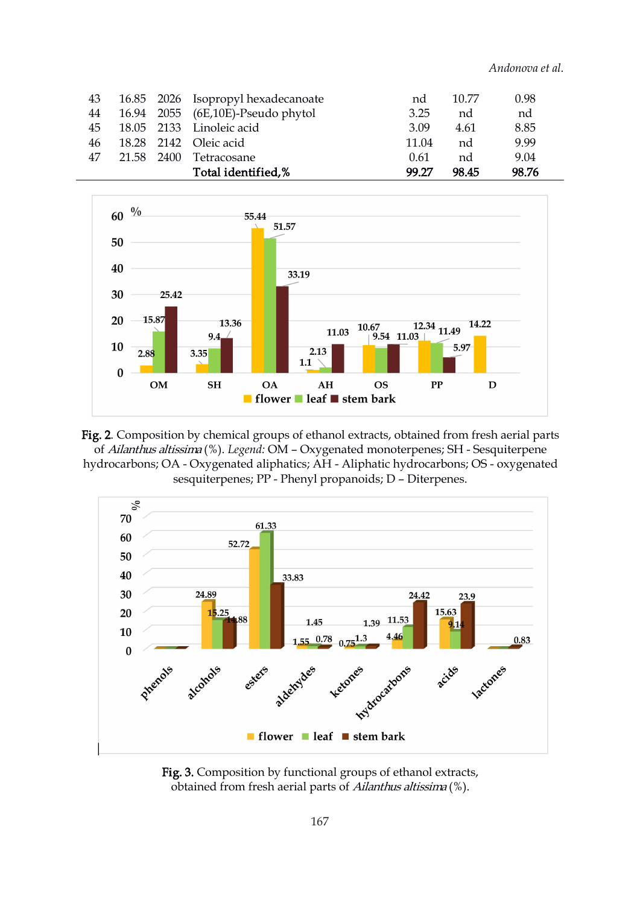*Andonova et al.*

|    |            |      | Total identified,%                 | 99.27 | 98.45 | 98.76 |
|----|------------|------|------------------------------------|-------|-------|-------|
| 47 | 21.58      | 2400 | Tetracosane                        | 0.61  | nd    | 9.04  |
| 46 |            |      | 18.28 2142 Oleic acid              | 11.04 | nd    | 9.99  |
| 45 | 18.05 2133 |      | Linoleic acid                      | 3.09  | 4.61  | 8.85  |
| 44 |            |      | 16.94 2055 (6E,10E)-Pseudo phytol  | 3.25  | nd    | nd    |
| 43 |            |      | 16.85 2026 Isopropyl hexadecanoate | nd    | 10.77 | 0.98  |



Fig. 2. Composition by chemical groups of ethanol extracts, obtained from fresh aerial parts of Ailanthus altissima (%). *Legend:* OM – Oxygenatedmonoterpenes; SH - Sesquiterpene hydrocarbons; ОА - Oxygenated aliphatics; AH - Aliphatic hydrocarbons; OS - oxygenated sesquiterpenes; PP - Phenyl propanoids; D – Diterpenes.



Fig. 3. Composition by functional groups of ethanol extracts, obtained from fresh aerial parts of Ailanthus altissima (%).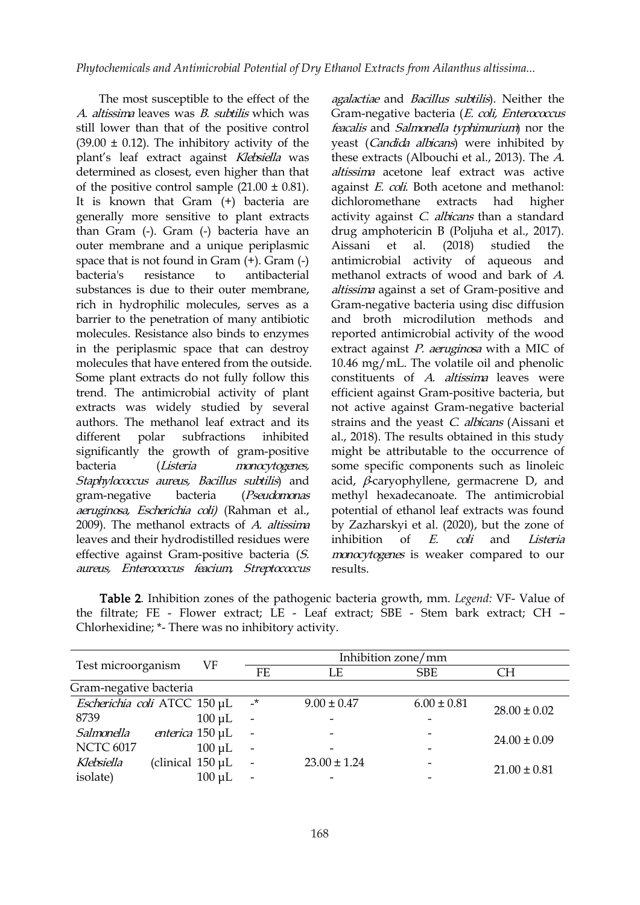The most susceptible to the effect of the A. altissima leaves was  $B$ . subtilis which was still lower than that of the positive control  $(39.00 \pm 0.12)$ . The inhibitory activity of the plant's leaf extract against Klebsiella was determined as closest, even higher than that of the positive control sample  $(21.00 \pm 0.81)$ . It is known that Gram (+) bacteria are generally more sensitive to plant extracts than Gram (-). Gram (-) bacteria have an outer membrane and a unique periplasmic space that is not found in Gram (+). Gram (-) bacteria's resistance to antibacterial substances is due to their outer membrane, rich in hydrophilic molecules, serves as a barrier to the penetration of many antibiotic molecules. Resistance also binds to enzymes in the periplasmic space that can destroy molecules that have entered from the outside. Some plant extracts do not fully follow this trend. The antimicrobial activity of plant extracts was widely studied by several authors. The methanol leaf extract and its significantly the growth of gram-positive bacteria (Listeria monocytogenes, Staphylococcus aureus, Bacillus subtilis) and gram-negative bacteria (Pseudomonas aeruginosa, Escherichia coli) (Rahman et al., 2009). The methanol extracts of A. altissima leaves and their hydrodistilled residues were effective against Gram-positive bacteria (S. aureus, Enterococcus feacium, Streptococcus

different polar subfractions inhibited al., 2018). The results obtained in this study agalactiae and Bacillus subtilis). Neither the Gram-negative bacteria (E. coli, Enterococcus feacalis and Salmonella typhimurium) nor the yeast (Candida albicans) were inhibited by these extracts (Albouchi et al., 2013). The A. altissima acetone leaf extract was active against E. coli. Both acetone and methanol: dichloromethane extracts had higher activity against *C. albicans* than a standard drug amphotericin B (Poljuha et al., 2017). al. (2018) studied the antimicrobial activity of aqueous and methanol extracts of wood and bark of A. altissima against a set of Gram-positive and Gram-negative bacteria using disc diffusion and broth microdilution methods and reported antimicrobial activity of the wood extract against *P. aeruginosa* with a MIC of 10.46 mg/mL. The volatile oil and phenolic constituents of A. altissima leaves were efficient against Gram-positive bacteria, but not active against Gram-negative bacterial strains and the yeast C. albicans (Aissani et might be attributable to the occurrence of some specific components such as linoleic acid,  $\beta$ -caryophyllene, germacrene D, and methyl hexadecanoate. The antimicrobial potential of ethanol leaf extracts was found by Zazharskyi et al. (2020), but the zone of inhibition of E. coli and Listeria monocytogenes is weaker compared to our results.

Table 2. Inhibition zones of the pathogenic bacteria growth, mm. *Legend:* VF- Value of the filtrate; FE - Flower extract; LE - Leaf extract; SBE - Stem bark extract; CH – Chlorhexidine; \*- There was no inhibitory activity.

|                              |                        | VF          | Inhibition zone/mm       |                  |                          |                  |  |
|------------------------------|------------------------|-------------|--------------------------|------------------|--------------------------|------------------|--|
| Test microorganism           |                        |             | FF.                      | LE               | <b>SBE</b>               | СH               |  |
| Gram-negative bacteria       |                        |             |                          |                  |                          |                  |  |
| Escherichia coli ATCC 150 µL |                        |             | $\mathbf{r}$             | $9.00 \pm 0.47$  | $6.00 \pm 0.81$          | $28.00 \pm 0.02$ |  |
| 8739                         |                        | $100 \mu L$ | $\overline{\phantom{0}}$ |                  | $\overline{\phantom{a}}$ |                  |  |
| Salmonella                   | <i>enterica</i> 150 µL |             | $\overline{\phantom{a}}$ |                  | $\overline{\phantom{a}}$ |                  |  |
| <b>NCTC 6017</b>             |                        | $100 \mu L$ | $\overline{\phantom{a}}$ |                  | $\overline{\phantom{a}}$ | $24.00 \pm 0.09$ |  |
| Klebsiella                   | (clinical $150 \mu L$  |             | $\overline{\phantom{a}}$ | $23.00 \pm 1.24$ | $\overline{\phantom{a}}$ |                  |  |
| isolate)                     |                        | $100 \mu L$ | $\overline{\phantom{0}}$ |                  | -                        | $21.00 \pm 0.81$ |  |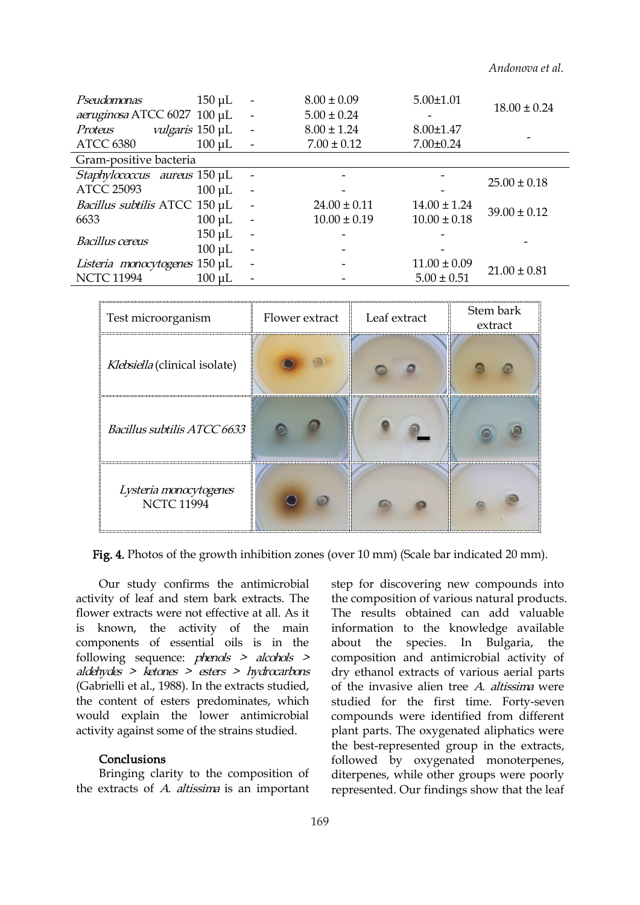*Andonova et al.*

| Pseudomonas                         | $150 \mu L$            | $\overline{\phantom{a}}$ | $8.00 \pm 0.09$  | $5.00 \pm 1.01$  | $18.00 \pm 0.24$ |  |  |
|-------------------------------------|------------------------|--------------------------|------------------|------------------|------------------|--|--|
| aeruginosa ATCC 6027 100 µL         |                        | $\overline{\phantom{a}}$ | $5.00 \pm 0.24$  |                  |                  |  |  |
| Proteus                             | <i>vulgaris</i> 150 µL |                          | $8.00 \pm 1.24$  | $8.00 \pm 1.47$  |                  |  |  |
| <b>ATCC 6380</b>                    | $100 \mu L$            |                          | $7.00 \pm 0.12$  | $7.00 \pm 0.24$  |                  |  |  |
| Gram-positive bacteria              |                        |                          |                  |                  |                  |  |  |
| <i>Staphylococcus</i> aureus 150 µL |                        |                          |                  |                  | $25.00 \pm 0.18$ |  |  |
| <b>ATCC 25093</b>                   | $100 \mu L$            |                          |                  |                  |                  |  |  |
| Bacillus subtilis ATCC 150 µL       |                        | $\sim$                   | $24.00 \pm 0.11$ | $14.00 \pm 1.24$ | $39.00 \pm 0.12$ |  |  |
| 6633                                | $100 \mu L$            | $\overline{\phantom{a}}$ | $10.00 \pm 0.19$ | $10.00 \pm 0.18$ |                  |  |  |
| <b>Bacillus cereus</b>              | $150 \mu L$            | $\overline{\phantom{a}}$ |                  |                  |                  |  |  |
|                                     | $100 \mu L$            | $\overline{\phantom{a}}$ |                  |                  |                  |  |  |
| Listeria monocytogenes 150 µL       |                        |                          |                  | $11.00 \pm 0.09$ | $21.00 \pm 0.81$ |  |  |
| <b>NCTC 11994</b>                   | $100 \mu L$            |                          |                  | $5.00 \pm 0.51$  |                  |  |  |



Fig. 4. Photos of the growth inhibition zones (over 10 mm) (Scale bar indicated 20 mm).

Our study confirms the antimicrobial activity of leaf and stem bark extracts. The flower extracts were not effective at all. As it is known, the activity of the main components of essential oils is in the following sequence: *phenols > alcohols >* aldehydes <sup>&</sup>gt; ketones <sup>&</sup>gt; esters <sup>&</sup>gt; hydrocarbons (Gabrielli et al., 1988). In the extracts studied, the content of esters predominates, which would explain the lower antimicrobial activity against some of the strains studied.

# Conclusions

Bringing clarity to the composition of the extracts of A. altissima is an important step for discovering new compounds into the composition of various natural products. The results obtained can add valuable information to the knowledge available about the species. In Bulgaria, the composition and antimicrobial activity of dry ethanol extracts of various aerial parts of the invasive alien tree A. altissima were studied for the first time. Forty-seven compounds were identified from different plant parts. The oxygenated aliphatics were the best-represented group in the extracts, followed by oxygenated monoterpenes, diterpenes, while other groups were poorly represented. Our findings show that the leaf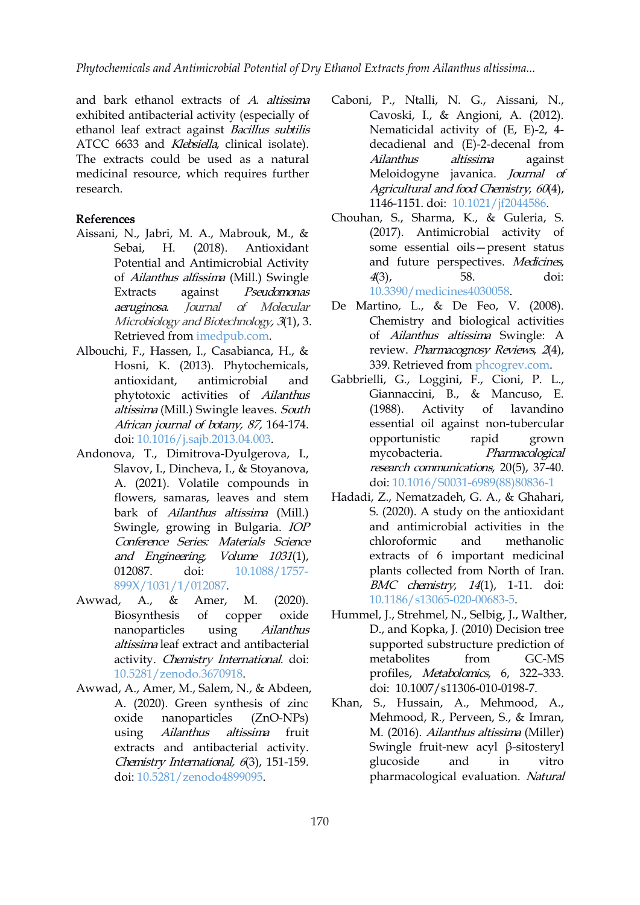and bark ethanol extracts of  $A$ . altissima exhibited antibacterial activity (especially of ethanol leaf extract against Bacillus subtilis ATCC 6633 and *Klebsiella*, clinical isolate). The extracts could be used as a natural medicinal resource, which requires further research.

## References

- Aissani, N., Jabri, M. A., Mabrouk, M., & Sebai, H. (2018). Antioxidant Potential and Antimicrobial Activity of Ailanthus alfissima (Mill.) Swingle Extracts against Pseudomonas aeruginosa. Journal of Molecular Microbiology and Biotechnology, 3(1), 3. Retrieved from [imedpub.com](https://www.imedpub.com/articles/antioxidant-potential-and-antimicrobialactivity-of-ailanthus-altissima-mill-swingleextracts-against-pseudomonas-aeruginosa.php?aid=23184).
- Albouchi, F., Hassen, I., Casabianca, H., & Hosni, K. (2013). Phytochemicals, phytotoxic activities of Ailanthus altissima (Mill.) Swingle leaves. South (1988). Activity African journal of botany, 87, 164-174. doi: [10.1016/j.sajb.2013.04.003](https://doi.org/10.1016/j.sajb.2013.04.003).
- Andonova, T., Dimitrova-Dyulgerova, I., Slavov, I., Dincheva, I., & Stoyanova, A. (2021). Volatile compounds in flowers, samaras, leaves and stem bark of Ailanthus altissima (Mill.) Swingle, growing in Bulgaria. IOP Conference Series: Materials Science and Engineering, Volume 1031(1),<br>012087. doi: 10.1088/1757-899X/1031/1/012087.
- Awwad, A., & Amer, M. (2020). nanoparticles using Ailanthus altissima leaf extract and antibacterial activity. Chemistry International. doi: [10.5281/zenodo.3670918.](https://doi.org/10.5281/zenodo.3670918)
- Awwad, A., Amer, M., Salem, N., & Abdeen, A. (2020). Green synthesis of zinc oxide nanoparticles (ZnO-NPs) using Ailanthus altissima fruit extracts and antibacterial activity. Chemistry International, <sup>6</sup>(3), 151-159. doi: [10.5281/zenodo4899095](https://doi.org/10.5281/zenodo4899095).
- Caboni, P., Ntalli, N. G., Aissani, N., Cavoski, I., & Angioni, A. (2012). Nematicidal activity of (E, E)-2, 4 decadienal and (E)-2-decenal from Ailanthus altissima against Meloidogyne javanica. Journal of Agricultural and food Chemistry, 60(4), 1146-1151. doi: [10.1021/jf2044586](https://doi.org/10.1021/jf2044586).
- Chouhan, S., Sharma, K., & Guleria, S. (2017). Antimicrobial activity of some essential oils—present status and future perspectives. Medicines, 4(3), 58. doi: [10.3390/medicines4030058](https://doi.org/10.3390/medicines4030058).
- De Martino, L., & De Feo, V. (2008). Chemistry and biological activities of Ailanthus altissima Swingle: A review. Pharmacognosy Reviews, <sup>2</sup>(4), 339. Retrieved from [phcogrev.com](https://www.phcogrev.com/article/2008/2/4-17).
- antioxidant, antimicrobial and Gabbrielli, G., Loggini, F., Cioni, P. L., Giannaccini, B., & Mancuso, E. of lavandino essential oil against non-tubercular opportunistic rapid grown mycobacteria. Pharmacological research communications, 20(5), 37-40. doi: [10.1016/S0031-6989\(88\)80836-1](https://doi.org/10.1016/S0031-6989(88)80836-1)
	- Hadadi, Z., Nematzadeh, G. A., & Ghahari, S. (2020). A study on the antioxidant and antimicrobial activities in the chloroformic and methanolic extracts of 6 important medicinal plants collected from North of Iran. BMC chemistry, <sup>14</sup>(1), 1-11. doi: [10.1186/s13065-020-00683-5.](https://doi.org/10.1186/s13065-020-00683-5)
- Biosynthesis of copper oxide Hummel, J., Strehmel, N., Selbig, J., Walther, D., and Kopka, J. (2010) Decision tree supported substructure prediction of metabolites from GC-MS profiles, Metabolomics, 6, 322–333. doi: [10.1007/s11306-010-0198-7](http://dx.doi.org/10.1007/s11306-010-0198-7).
	- Khan, S., Hussain, A., Mehmood, A., Mehmood, R., Perveen, S., & Imran, M. (2016). Ailanthus altissima (Miller) Swingle fruit-new acyl β-sitosteryl glucoside and in vitro pharmacological evaluation. Natural